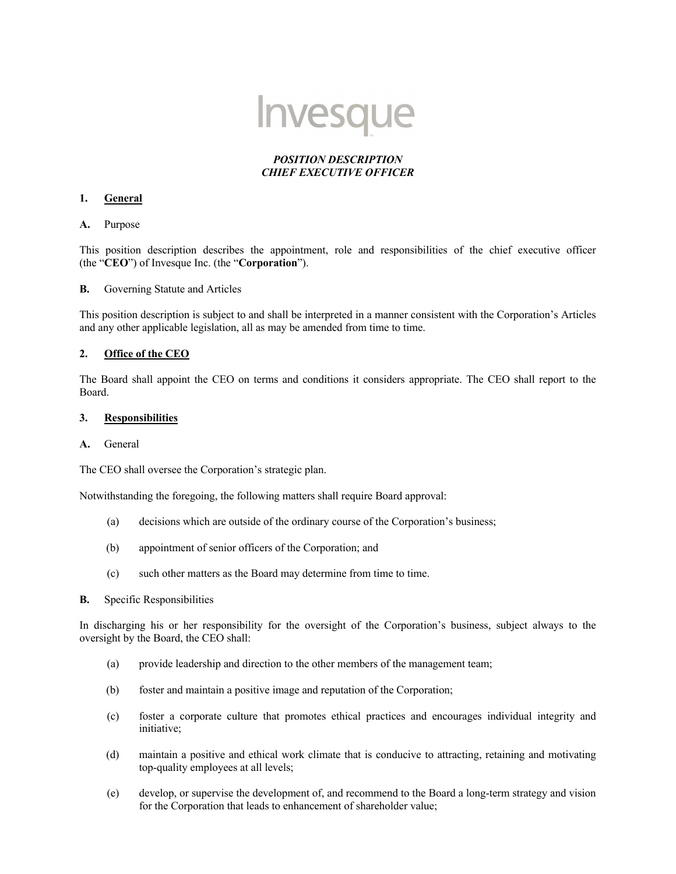

# *POSITION DESCRIPTION CHIEF EXECUTIVE OFFICER*

#### **1. General**

**A.** Purpose

This position description describes the appointment, role and responsibilities of the chief executive officer (the "**CEO**") of Invesque Inc. (the "**Corporation**").

**B.** Governing Statute and Articles

This position description is subject to and shall be interpreted in a manner consistent with the Corporation's Articles and any other applicable legislation, all as may be amended from time to time.

### **2. Office of the CEO**

The Board shall appoint the CEO on terms and conditions it considers appropriate. The CEO shall report to the Board.

## **3. Responsibilities**

### **A.** General

The CEO shall oversee the Corporation's strategic plan.

Notwithstanding the foregoing, the following matters shall require Board approval:

- (a) decisions which are outside of the ordinary course of the Corporation's business;
- (b) appointment of senior officers of the Corporation; and
- (c) such other matters as the Board may determine from time to time.
- **B.** Specific Responsibilities

In discharging his or her responsibility for the oversight of the Corporation's business, subject always to the oversight by the Board, the CEO shall:

- (a) provide leadership and direction to the other members of the management team;
- (b) foster and maintain a positive image and reputation of the Corporation;
- (c) foster a corporate culture that promotes ethical practices and encourages individual integrity and initiative;
- (d) maintain a positive and ethical work climate that is conducive to attracting, retaining and motivating top-quality employees at all levels;
- (e) develop, or supervise the development of, and recommend to the Board a long-term strategy and vision for the Corporation that leads to enhancement of shareholder value;